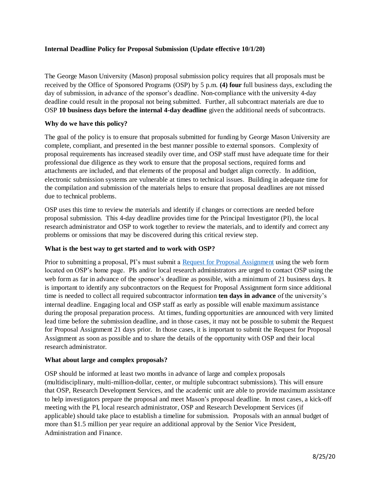## **Internal Deadline Policy for Proposal Submission (Update effective 10/1/20)**

The George Mason University (Mason) proposal submission policy requires that all proposals must be received by the Office of Sponsored Programs (OSP) by 5 p.m. **(4) four** full business days, excluding the day of submission, in advance of the sponsor's deadline. Non-compliance with the university 4-day deadline could result in the proposal not being submitted. Further, all subcontract materials are due to OSP **10 business days before the internal 4-day deadline** given the additional needs of subcontracts.

## **Why do we have this policy?**

The goal of the policy is to ensure that proposals submitted for funding by George Mason University are complete, compliant, and presented in the best manner possible to external sponsors. Complexity of proposal requirements has increased steadily over time, and OSP staff must have adequate time for their professional due diligence as they work to ensure that the proposal sections, required forms and attachments are included, and that elements of the proposal and budget align correctly. In addition, electronic submission systems are vulnerable at times to technical issues. Building in adequate time for the compilation and submission of the materials helps to ensure that proposal deadlines are not missed due to technical problems.

OSP uses this time to review the materials and identify if changes or corrections are needed before proposal submission. This 4-day deadline provides time for the Principal Investigator (PI), the local research administrator and OSP to work together to review the materials, and to identify and correct any problems or omissions that may be discovered during this critical review step.

## **What is the best way to get started and to work with OSP?**

Prior to submitting a proposal, PI's must submit a [Request for Proposal Assignment](https://ospproposal.gmu.edu/Default.aspx) using the web form located on OSP's home page. PIs and/or local research administrators are urged to contact OSP using the web form as far in advance of the sponsor's deadline as possible, with a minimum of 21 business days. It is important to identify any subcontractors on the Request for Proposal Assignment form since additional time is needed to collect all required subcontractor information **ten days in advance** of the university's internal deadline. Engaging local and OSP staff as early as possible will enable maximum assistance during the proposal preparation process. At times, funding opportunities are announced with very limited lead time before the submission deadline, and in those cases, it may not be possible to submit the Request for Proposal Assignment 21 days prior. In those cases, it is important to submit the Request for Proposal Assignment as soon as possible and to share the details of the opportunity with OSP and their local research administrator.

#### **What about large and complex proposals?**

OSP should be informed at least two months in advance of large and complex proposals (multidisciplinary, multi-million-dollar, center, or multiple subcontract submissions). This will ensure that OSP, Research Development Services, and the academic unit are able to provide maximum assistance to help investigators prepare the proposal and meet Mason's proposal deadline. In most cases, a kick-off meeting with the PI, local research administrator, OSP and Research Development Services (if applicable) should take place to establish a timeline for submission. Proposals with an annual budget of more than \$1.5 million per year require an additional approval by the Senior Vice President, Administration and Finance.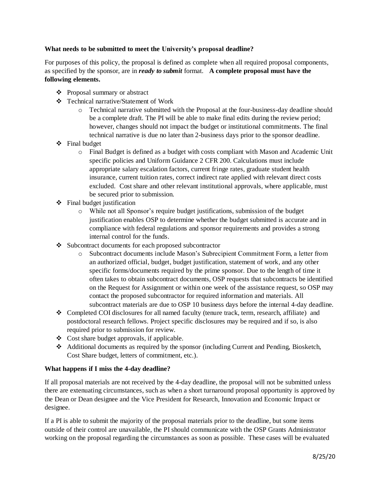# **What needs to be submitted to meet the University's proposal deadline?**

For purposes of this policy, the proposal is defined as complete when all required proposal components, as specified by the sponsor, are in *ready to submit* format. **A complete proposal must have the following elements.** 

- ❖ Proposal summary or abstract
- ❖ Technical narrative/Statement of Work
	- o Technical narrative submitted with the Proposal at the four-business-day deadline should be a complete draft. The PI will be able to make final edits during the review period; however, changes should not impact the budget or institutional commitments. The final technical narrative is due no later than 2-business days prior to the sponsor deadline.
- ❖ Final budget
	- o Final Budget is defined as a budget with costs compliant with Mason and Academic Unit specific policies and Uniform Guidance 2 CFR 200. Calculations must include appropriate salary escalation factors, current fringe rates, graduate student health insurance, current tuition rates, correct indirect rate applied with relevant direct costs excluded. Cost share and other relevant institutional approvals, where applicable, must be secured prior to submission.
- $\div$  Final budget justification
	- o While not all Sponsor's require budget justifications, submission of the budget justification enables OSP to determine whether the budget submitted is accurate and in compliance with federal regulations and sponsor requirements and provides a strong internal control for the funds.
- ❖ Subcontract documents for each proposed subcontractor
	- o Subcontract documents include Mason's Subrecipient Commitment Form, a letter from an authorized official, budget, budget justification, statement of work, and any other specific forms/documents required by the prime sponsor. Due to the length of time it often takes to obtain subcontract documents, OSP requests that subcontracts be identified on the Request for Assignment or within one week of the assistance request, so OSP may contact the proposed subcontractor for required information and materials. All subcontract materials are due to OSP 10 business days before the internal 4-day deadline.
- ❖ Completed COI disclosures for all named faculty (tenure track, term, research, affiliate) and postdoctoral research fellows. Project specific disclosures may be required and if so, is also required prior to submission for review.
- ❖ Cost share budget approvals, if applicable.
- ❖ Additional documents as required by the sponsor (including Current and Pending, Biosketch, Cost Share budget, letters of commitment, etc.).

## **What happens if I miss the 4-day deadline?**

If all proposal materials are not received by the 4-day deadline, the proposal will not be submitted unless there are extenuating circumstances, such as when a short turnaround proposal opportunity is approved by the Dean or Dean designee and the Vice President for Research, Innovation and Economic Impact or designee.

If a PI is able to submit the majority of the proposal materials prior to the deadline, but some items outside of their control are unavailable, the PI should communicate with the OSP Grants Administrator working on the proposal regarding the circumstances as soon as possible. These cases will be evaluated